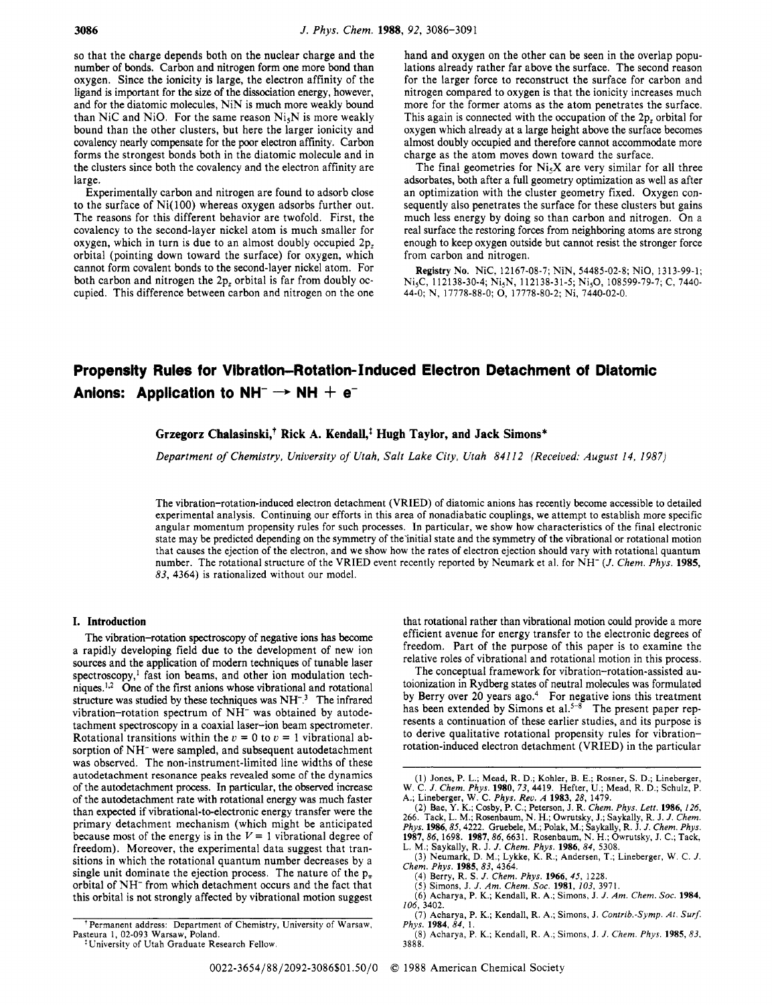so that the charge depends both on the nuclear charge and the number of bonds. Carbon and nitrogen form one more bond than oxygen. Since the ionicity is large, the electron affinity of the ligand is important for the size of the dissociation energy, however, and for the diatomic molecules, NiN is much more weakly bound than NiC and NiO. For the same reason  $Ni<sub>5</sub>N$  is more weakly bound than the other clusters, but here the larger ionicity and covalency nearly compensate for the poor electron affinity. Carbon forms the strongest bonds both in the diatomic molecule and in the clusters since both the covalency and the electron affinity are large.

Experimentally carbon and nitrogen are found to adsorb close to the surface of Ni(100) whereas oxygen adsorbs further out. The reasons for this different behavior are twofold. First, the covalency to the second-layer nickel atom is much smaller for oxygen, which in turn is due to an almost doubly occupied 2p, orbital (pointing down toward the surface) for oxygen, which cannot form covalent bonds to the second-layer nickel atom. For both carbon and nitrogen the 2p, orbital is far from doubly occupied. This difference between carbon and nitrogen on the one

hand and oxygen on the other can be seen in the overlap populations already rather far above the surface. The second reason for the larger force to reconstruct the surface for carbon and nitrogen compared to oxygen is that the ionicity increases much more for the former atoms as the atom penetrates the surface. This again is connected with the occupation of the 2p, orbital for oxygen which already at a large height above the surface becomes almost doubly occupied and therefore cannot accommodate more charge as the atom moves down toward the surface.

The final geometries for  $Ni<sub>5</sub>X$  are very similar for all three adsorbates, both after a full geometry optimization as well as after an optimization with the cluster geometry fixed. Oxygen consequently also penetrates the surface for these clusters but gains much less energy by doing so than carbon and nitrogen. On a real surface the restoring forces from neighboring atoms are strong enough to keep oxygen outside but cannot resist the stronger force from carbon and nitrogen.

**Registry No.** NiC, 12167-08-7; NiN, 54485-02-8; NiO, 1313-99-1; N<sub>is</sub>C, 112138-30-4; N<sub>is</sub>N, 112138-31-5; N<sub>is</sub>O, 108599-79-7; C, 7440-44-0; N, 17778-88-0; 0, 17778-80-2; Ni, 7440-02-0.

# **Propensity Rules for Vlbratlon-Rotation- Induced Electron Detachment of Diatomic**  Anions: Application to  $NH^- \rightarrow NH + e^-$

# **Grzegorz Chalasinski: Rick A. Kendall,\* Hugh Taylor, and Jack Simons\***

*Department of Chemistry, University of Utah, Salt Lake City, Utah 841 12 (Received: August 14, 1987)* 

The vibration-rotation-induced electron detachment (VRIED) of diatomic anions has recently become accessible to detailed experimental analysis. Continuing our efforts in this area of nonadiabatic couplings, we attempt to establish more specific angular momentum propensity rules for such processes. In particular, we show how characteristics of the final electronic state may be predicted depending on the symmetry of the'initial state and the symmetry of the vibrational or rotational motion that causes the ejection of the electron, and we show how the rates of electron ejection should vary with rotational quantum number. The rotational structure of the VRIED event recently reported by Neumark et al. for NH<sup>-</sup> (*J. Chem. Phys.* 1985, 83, 4364) is rationalized without our model.

# **I. Introduction**

The vibration-rotation spectroscopy of negative ions has become a rapidly developing field due to the development of new ion **sources** and the application of modern techniques of tunable laser spectroscopy,<sup>1</sup> fast ion beams, and other ion modulation techniques.<sup>1,2</sup> One of the first anions whose vibrational and rotational structure was studied by these techniques was NH<sup>-3</sup>. The infrared vibration-rotation spectrum of NH<sup>-</sup> was obtained by autodetachment spectroscopy in a coaxial laser-ion beam spectrometer. Rotational transitions within the  $v = 0$  to  $v = 1$  vibrational absorption of NH- were sampled, and subsequent autodetachment was observed. The non-instrument-limited line widths of these autodetachment resonance peaks revealed some of the dynamics of the autodetachment process. In particular, the observed increase of the autodetachment rate with rotational energy was much faster than expected if vibrational-to-electronic energy transfer were the primary detachment mechanism (which might be anticipated because most of the energy is in the  $V = 1$  vibrational degree of freedom). Moreover, the experimental data suggest that transitions in which the rotational quantum number decreases by a single unit dominate the ejection process. The nature of the  $p_{\pi}$ orbital of NH- from which detachment occurs and the fact that this orbital is not strongly affected by vibrational motion suggest

that rotational rather than vibrational motion could provide a more efficient avenue for energy transfer to the electronic degrees of freedom. Part of the purpose of this paper is to examine the relative roles of vibrational and rotational motion in this process.

The conceptual framework for vibration-rotation-assisted autoionization in Rydberg states of neutral molecules was formulated by Berry over 20 years ago.4 For negative ions this treatment has been extended by Simons et al. $5-8$  The present paper represents a continuation of these earlier studies, and its purpose is to derive qualitative rotational propensity rules for vibrationrotation-induced electron detachment (VRIED) in the particular

*(8)* Acharya, P. K.; Kendall, R. **A.;** Simons, J. *J. Chem. Phys.* 1985,83,

*Phys.* 1984, 84, 1.

<sup>(1)</sup> Jones, P. L.; Mead, R. D.; Kohler, B. E.; Rosner, *S.* D.; Lineberger, W. C. *J. Chem. Phys.* 1980, *73,* 4419. Hefter, U.; Mead, R. D.; Schulz, P. A.; Lineberger, **W.** C. *Phys. Rev. A* 1983, 28, 1479.

**<sup>(2)</sup>** Bae, Y. **K.;** Cosby, P. C.; Peterson, J. R. *Chem. Phys. Lert.* 1986, 126, 266. Tack, L. M.; Rosenbaum, N. H.; Owrutsky, J.; Saykally, R. J. J. Chem.<br>Phys. 1986, 85, 4222. Gruebele, M.; Polak, M.; Saykally, R. J. J. Chem. Phys.<br>1987, 86, 1698. 1987, 86, 6631. Rosenbaum, N. H.; Owrutsky, J. C.; Ta

<sup>(3)</sup> Neumark, D. **M.;** Lykke, K. R.; Andersen, T.; Lineberger, W. C. *J. Chem. Phys.* 1985, 83, 4364. (4) Berry, R. **S.** *J. Chem. Phys.* 1966, 45, 1228.

<sup>(5)</sup> Simons, J. *J. Am. Chem. SOC.* 1981, 103, 3971.

<sup>(6)</sup> Acharya, P. K.; Kendall, R. A.; Simons, J. *J. Am. Chem. SOC.* 1984, (7) Acharya, P. K.; Kendall, R. A.; Simons, J. *Contrib.-Symp. At. Surf.*  106, 3402.

<sup>&#</sup>x27;Permanent address: Department of Chemistry, University of Warsaw, Pasteura 1, 02-093 Warsaw, Poland.

<sup>\*</sup>University of Utah Graduate Research Fellow.

<sup>3888.</sup>  0022-3654/88/2092-3086\$01.50/0 *0* 1988 American Chemical Society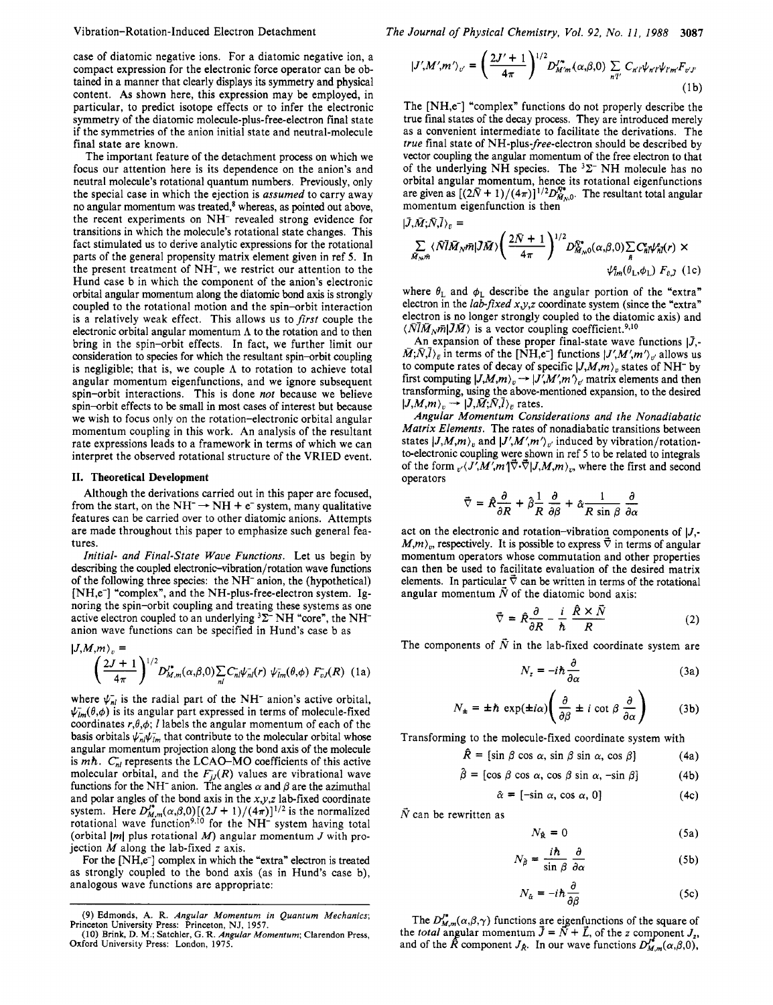### Vibration-Rotation-Induced Electron Detachment

case of diatomic negative ions. For a diatomic negative ion, a compact expression for the electronic force operator can be obtained in a manner that clearly displays its symmetry and physical content. As shown here, this expression may be employed, in particular, to predict isotope effects or to infer the electronic symmetry of the diatomic molecule-plus-free-electron final state if the symmetries of the anion initial state and neutral-molecule final state are known.

The important feature of the detachment process on which we focus our attention here is its dependence on the anion's and neutral molecule's rotational quantum numbers. Previously, only the special case in which the ejection is assumed to carry away no angular momentum was treated,<sup>8</sup> whereas, as pointed out above, the recent experiments on NH- revealed strong evidence for transitions in which the molecule's rotational state changes. This fact stimulated us to derive analytic expressions for the rotational parts of the general propensity matrix element given in ref **5.** In the present treatment of NH-, we restrict our attention to the Hund case b in which the component of the anion's electronic orbital angular momentum along the diatomic bond axis is strongly coupled to the rotational motion and the spin-orbit interaction is a relatively weak effect. This allows us to *first* couple the electronic orbital angular momentum **A** to the rotation and to then bring in the spin-orbit effects. In fact, we further limit our consideration to species for which the resultant spin-orbit coupling is negligible; that is, we couple **A** to rotation to achieve total angular momentum eigenfunctions, and we ignore subsequent spin-orbit interactions. This is done not because we believe spin-orbit effects to be small in most cases of interest but because we wish to focus only on the rotation-electronic orbital angular momentum coupling in this work. An analysis of the resultant rate expressions leads to a framework in terms of which we can interpret the observed rotational structure of the VRIED event.

#### **11.** Theoretical Development

Although the derivations carried out in this paper are focused, from the start, on the NH<sup>-</sup>  $\rightarrow$  NH + e<sup>-</sup> system, many qualitative features can be carried over to other diatomic anions. Attempts are made throughout this paper to emphasize such general features.

Initial- and Final-State Wave Functions. Let us begin by describing the coupled **electronic-vibration/rotation** wave functions of the following three species: the NH- anion, the (hypothetical) [NH,e<sup>-</sup>] "complex", and the NH-plus-free-electron system. Ignoring the spin-orbit coupling and treating these systems as one active electron coupled to an underlying  $3\Sigma$ <sup>-</sup> NH "core", the NH<sup>-</sup> anion wave functions can be specified in Hund's case b as

$$
|J,M,m\rangle_v = \left(\frac{2J+1}{4\pi}\right)^{1/2} D_{M,m}^{\prime^*}(\alpha,\beta,0) \sum_{nl} C_{nl}^{\prime} \psi_{nl}^{\prime}(r) \psi_{lm}^{\prime}(\theta,\phi) F_{vJ}^{\prime}(R) \quad (1a)
$$

where  $\psi_{nl}$  is the radial part of the NH<sup>-</sup> anion's active orbital,  $\psi_{lm}(\theta,\phi)$  is its angular part expressed in terms of molecule-fixed coordinates  $r, \theta, \phi$ ; *l* labels the angular momentum of each of the basis orbitals  $\psi_{nl}^-\psi_{lm}^-$  that contribute to the molecular orbital whose angular momentum projection along the bond axis of the molecule is mh.  $C_{nl}$  represents the LCAO-MO coefficients of this active molecular orbital, and the  $F_{jj}(R)$  values are vibrational wave functions for the NH<sup>-</sup> anion. The angles  $\alpha$  and  $\beta$  are the azimuthal and polar angles of the bond axis in the  $x, y, z$  lab-fixed coordinate system. Here  $D_{M,m}^{J^*}(\alpha,\beta,0)$   $[(2J+1)/(4\pi)]^{1/2}$  is the normalized rotational wave function<sup>9,10</sup> for the NH<sup>-</sup> system having total (orbital *IMI* plus rotational *M)* angular momentum *J* with projection *M* along the lab-fixed *z* axis.

For the [NH,e<sup>-</sup>] complex in which the "extra" electron is treated as strongly coupled to the bond axis (as in Hund's case b), analogous wave functions are appropriate:

**(9) Edmonds, A. R.** *Angular Momentum in Quantum Mechanics;*  **Princeton University Press: Princeton, NJ, 1957. (IO) Brink, D. M.; Satchler,** *G.* **R.** *Angular Momentum;* **Clarendon Press,**  The Journal of Physical Chemistry, Vol. *92,* No. *11, 1988* **3087** 

$$
|J'M'm'\rangle_{v'} = \left(\frac{2J'+1}{4\pi}\right)^{1/2} D_{M'm}^{J''}(\alpha,\beta,0) \sum_{n'l'} C_{n'l'} \psi_{n'l'} \psi_{l'm'} F_{v'l'}
$$
\n(1b)

The [NH,e<sup>-</sup>] "complex" functions do not properly describe the true final states of the decay process. They are introduced merely as a convenient intermediate to facilitate the derivations. The true final state of NH-plus-free-electron should be described by vector coupling the angular momentum of the free electron to that of the underlying NH species. The **3Z-** NH molecule has no orbital angular momentum, hence its rotational eigenfunctions are given as  $[(2\bar{N}+1)/(4\pi)]^{1/2}D_{M_{\infty}0}^{\bar{N}^*}$ . The resultant total angular momentum eigenfunction is then

$$
|\bar{J},\bar{M};\bar{N},\bar{l}\rangle_{v} = \sum_{\substack{\bar{M}_{N},m}} \langle \bar{N} \bar{M}_{N} \bar{m} | \bar{J} \bar{M} \rangle \left( \frac{2\bar{N}+1}{4\pi} \right)^{1/2} D_{\bar{M}_{N},0}^{\bar{N}*}(\alpha,\beta,0) \sum_{n} C_{n\bar{n}}^{\epsilon} \psi_{n\bar{n}}^{\epsilon}(r) \times \psi_{n\bar{n}}^{\epsilon}(\theta_{\mathrm{L}},\phi_{\mathrm{L}}) F_{v,\bar{J}} \quad (1c)
$$

where  $\theta_1$  and  $\phi_1$  describe the angular portion of the "extra" electron in the lab-fixed *xy,z* coordinate system (since the "extra" electron is no longer strongly coupled to the diatomic axis) and  $\langle N\bar{l}M_{N}\bar{m}|\bar{J}M\rangle$  is a vector coupling coefficient.<sup>9,10</sup>

An expansion of these proper final-state wave functions  $|\bar{J}_{\cdot}|$ .  $\overline{M}$ ; $\overline{N}$ , $\overline{l}$ )<sub> $\overline{v}$ </sub> in terms of the [NH,e<sup>-</sup>] functions  $|J',M',m'\rangle_{v'}$  allows us to compute rates of decay of specific  $|J,M,m\rangle_v$  states of NH<sup>-</sup> by  $M_iN_i/\nu_p$  in terms of the [NH,e<sup>-</sup>] functions  $|J'_iM'_im'\rangle_{\nu'}$  allows us to compute rates of decay of specific  $|J_iM'_im'\rangle_{\nu}$  states of NH<sup>-</sup> by first computing  $|J_iM'_im'\rangle_{\nu}$  matrix elements and then transforming, using the above-mentioned expansion, to the desired first computing  $|J,M,m\rangle_v \rightarrow |J',M',m'\rangle_v$  matrix elements and then transforming, using the above-mentioned expansion, to the desired  $|J,M,m\rangle_v \rightarrow |J,\bar{M};\bar{N},\bar{l}\rangle_E$  rates.

Angular Momentum Considerations and the Nonadiabatic Matrix Elements. The rates of nonadiabatic transitions between states  $|J,M,m\rangle_p$ , and  $|J',M',m'\rangle_{p'}$  induced by vibration/rotationto-electronic coupling were shown in ref 5 to be related to integrals of the form  $\frac{v}{J'}\sqrt{J'}M'm^{\dagger}\vec{\nabla}\cdot\vec{\nabla}|J,M,m\rangle_v$ , where the first and second operators

$$
\vec{\nabla} = \hat{R} \frac{\partial}{\partial R} + \hat{\beta} \frac{1}{R} \frac{\partial}{\partial \beta} + \hat{\alpha} \frac{1}{R \sin \beta} \frac{\partial}{\partial \alpha}
$$

act on the electronic and rotation-vibration components of  $|J,-\rangle$  $M,m$ , respectively. It is possible to express  $\vec{\nabla}$  in terms of angular momentum operators whose commutation and other properties can then be used to facilitate evaluation of the desired matrix elements. In particular  $\vec{\nabla}$  can be written in terms of the rotational angular momentum  $\vec{N}$  of the diatomic bond axis:

$$
\vec{\nabla} = \hat{R} \frac{\partial}{\partial R} - \frac{i}{\hbar} \frac{\hat{R} \times \bar{N}}{R}
$$
 (2)

The components of  $\vec{N}$  in the lab-fixed coordinate system are

$$
N_z = -i\hbar \frac{\partial}{\partial \alpha} \tag{3a}
$$

$$
N_{\pm} = \pm \hbar \, \exp(\pm i\alpha) \left( \frac{\partial}{\partial \beta} \pm i \, \cot \beta \, \frac{\partial}{\partial \alpha} \right) \tag{3b}
$$

Transforming to the molecule-fixed coordinate system with

 $\hat{R}$  = [sin  $\beta$  cos  $\alpha$ , sin  $\beta$  sin  $\alpha$ , cos  $\beta$ ] (4a)

$$
\hat{\beta} = [\cos \beta \cos \alpha, \cos \beta \sin \alpha, -\sin \beta]
$$
 (4b)

$$
\hat{\alpha} = [-\sin \alpha, \cos \alpha, 0] \tag{4c}
$$

 $\bar{N}$  can be rewritten as

$$
N_{\hat{\mathbf{R}}} = 0 \tag{5a}
$$

$$
N_{\hat{\beta}} = \frac{i\hbar}{\sin \beta} \frac{\partial}{\partial \alpha} \tag{5b}
$$

$$
N_{\hat{\alpha}} = -i\hbar \frac{\partial}{\partial \beta} \tag{5c}
$$

The  $D_{M,m}^{\prime\prime}(\alpha,\beta,\gamma)$  functions are eigenfunctions of the square of the *total* angular momentum  $\vec{J} = \vec{N} + \vec{L}$ , of the *z* component  $J_z$ , and of the  $\hat{R}$  component  $J_{\hat{R}}$ . In our wave functions  $D_{M,m}^{J^c}(\alpha,\beta,0)$ ,

**Oxford University Press: London, 1975.**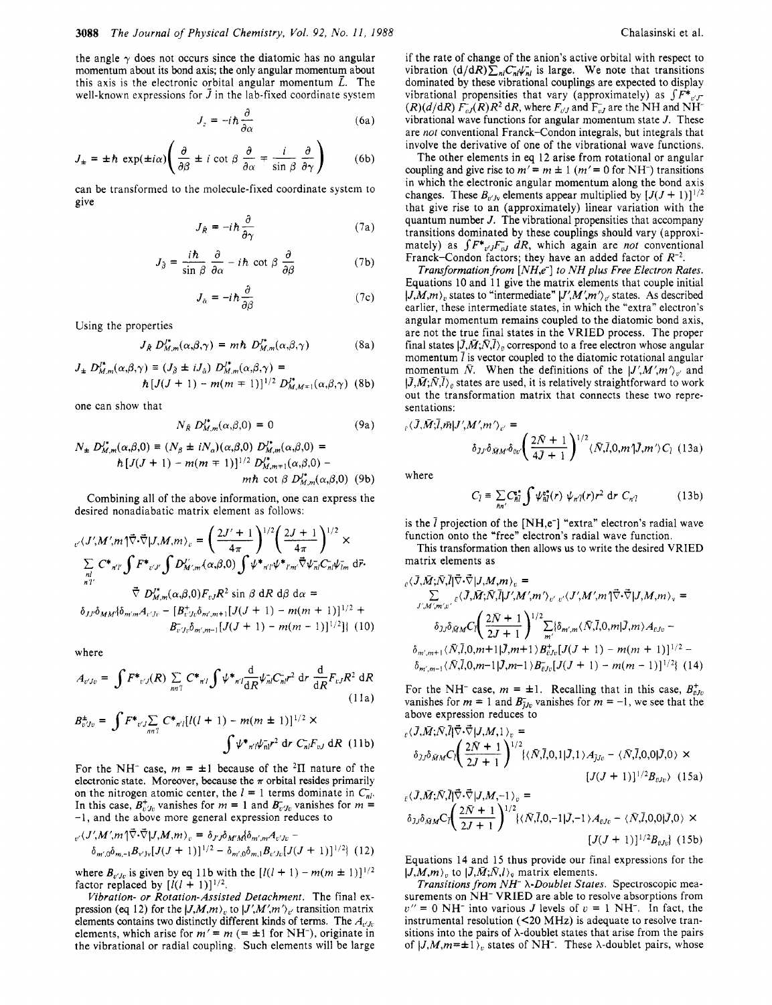the angle  $\gamma$  does not occurs since the diatomic has no angular momentum about its bond axis; the only angular momentum about this axis is the electronic orbital angular momentum  $\vec{L}$ . The well-known expressions for  $\vec{J}$  in the lab-fixed coordinate system

$$
J_z = -i\hbar \frac{\partial}{\partial \alpha} \tag{6a}
$$

wen-known expressions for J in the lab-fixed coordinate system  
\n
$$
J_z = -i\hbar \frac{\partial}{\partial \alpha} \qquad (6a)
$$
\n
$$
J_{\pm} = \pm \hbar \exp(\pm i\alpha) \left( \frac{\partial}{\partial \beta} \pm i \cot \beta \frac{\partial}{\partial \alpha} \mp \frac{i}{\sin \beta} \frac{\partial}{\partial \gamma} \right) \qquad (6b)
$$

can be transformed to the molecule-fixed coordinate system to give

$$
J_{\hat{R}} = -i\hbar \frac{\partial}{\partial \gamma} \tag{7a}
$$

$$
J_{\hat{\beta}} = \frac{i\hbar}{\sin \beta} \frac{\partial}{\partial \alpha} - i\hbar \cot \beta \frac{\partial}{\partial \beta}
$$
 (7b)

$$
J_{\hat{\alpha}} = -i\hbar \frac{\partial}{\partial \beta} \tag{7c}
$$

Using the properties

$$
J_{\hat{R}} D_{M,m}^{J^*}(\alpha, \beta, \gamma) = m \hbar D_{M,m}^{J^*}(\alpha, \beta, \gamma)
$$
 (8a)

$$
J_{\pm} D_{M,m}^{\prime^*}(\alpha,\beta,\gamma) \equiv (J_{\hat{\beta}} \pm iJ_{\hat{\alpha}}) D_{M,m}^{\prime^*}(\alpha,\beta,\gamma) =
$$
  

$$
\hbar [J(J+1) - m(m \mp 1)]^{1/2} D_{M,M \mp 1}^{\prime^*}(\alpha,\beta,\gamma)
$$
 (8b)

one can show that

$$
V_{\hat{R}} D_{M,m}^{J^*}(\alpha, \beta, 0) = 0
$$
 (9a)

$$
N_{\pm} D_{M,m}^{J*}(\alpha,\beta,0) \equiv (N_{\beta} \pm iN_{\alpha})(\alpha,\beta,0) D_{M,m}^{J*}(\alpha,\beta,0) =
$$
  
\n
$$
\hbar [J(J+1) - m(m \mp 1)]^{1/2} D_{M,m \mp 1}^{J*}(\alpha,\beta,0) -
$$
  
\n
$$
m\hbar \cot \beta D_{M,m}^{J*}(\alpha,\beta,0) \quad (9b)
$$

 $\overline{I}$ 

Combining all of the above information, one can express the desired nonadiabatic matrix element as follows:

$$
\begin{split} &\n_{v'}\langle J',M',m\uparrow\vec{\nabla}\cdot\vec{\nabla}|J,M,m\rangle_{v} = \left(\frac{2J'+1}{4\pi}\right)^{1/2} \left(\frac{2J+1}{4\pi}\right)^{1/2} \times \\ &\sum_{nl'} C^*{}_{n'l'} \int F^*{}_{v'l'} \int D'_{M',m}(\alpha,\beta,0) \int \psi^*{}_{n'l'} \psi^*{}_{l'm'} \vec{\nabla}\psi^-_{nl} C_{nl} \psi^-_{lm} d\vec{r} \\ &\vec{\nabla} D'^*_{M,m}(\alpha,\beta,0) F_{vJ} R^2 \sin\beta \, dR \, d\beta \, d\alpha = \\ &\delta_{JJ'} \delta_{MM'} \{\delta_{m'm'} A_{v'Jv} - [B^*_{v'Jv}\delta_{m',m+1}[J(J+1) - m(m+1)]^{1/2} + \\ &\quad B^-_{v'Jv}\delta_{m',m-1}[J(J+1) - m(m-1)]^{1/2} \} \end{split}
$$
 (10)

where

$$
A_{v'Jv} = \int F^*_{v'J}(R) \sum_{nn'l} C^*_{n'l} \int \psi^*_{n'l} \frac{d}{dR} \psi_{nl} C_{nl} r^2 dr \frac{d}{dR} F_{vJ} R^2 dR
$$
\n(11a)

$$
B_{v'Jv}^{\pm} = \int F^*{}_{v'J} \sum_{nn'l} C^*{}_{n'l} [l(l+1) - m(m \pm 1)]^{1/2} \times
$$
  

$$
\int \psi^*{}_{n'l} \psi_{nl}^{-} r^2 dr C_{nl} F_{vJ} dR
$$
 (11b)

For the NH<sup>-</sup> case,  $m = \pm 1$  because of the <sup>2</sup>II nature of the electronic state. Moreover, because the  $\pi$  orbital resides primarily on the nitrogen atomic center, the  $l = 1$  terms dominate in  $C_{nl}$ . In this case,  $B_{v/y_v}^+$  vanishes for  $m = 1$  and  $B_{v/y_v}^-$  vanishes for  $m =$ -1, and the above more general expression reduces to

$$
\begin{aligned} \n\int_{\mathcal{D}'} \langle J', M', m \rangle \vec{\nabla} \cdot \vec{\nabla} | J, M, m \rangle_{v} &= \delta_{J'J} \delta_{M'M} \delta_{m',m} A_{v'Jv} - \\ \n\delta_{m',0} \delta_{m,-1} B_{v'Jv} [J(J+1)]^{1/2} - \delta_{m',0} \delta_{m,1} B_{v'Jv} [J(J+1)]^{1/2} \end{aligned} \tag{12}
$$

where  $B_{v'j_0}$  is given by eq 11b with the  $[l(l + 1) - m(m \pm 1)]^{1/2}$ factor replaced by  $[l(l+1)]^{1/2}$ .

Vibration- or Rotation-Assisted Detachment. The final expression (eq 12) for the  $|J,M,m\rangle$ <sub>v</sub> to  $|J',M',m'\rangle$ <sub>v</sub> transition matrix elements contains two distinctly different kinds of terms. The  $A_{v'Jv}$ elements, which arise for  $m' = m$  (=  $\pm 1$  for NH<sup>-</sup>), originate in the vibrational or radial coupling. Such elements will be large if the rate of change of the anion's active orbital with respect to vibration  $(d/dR)\sum_{nl}C_{nl}\psi_{nl}$  is large. We note that transitions dominated by these vibrational couplings are expected to display vibrational propensities that vary (approximately) as  $\int F^*_{v}$  $(R)(d/dR)$   $\overline{F}_{vJ}(R)R^2$  dR, where  $F_{vJ}$  and  $F_{vJ}^-$  are the NH and NH<sup>-</sup> vibrational wave functions for angular momentum state  $J$ . These are not conventional Franck-Condon integrals, but integrals that involve the derivative of one of the vibrational wave functions.

The other elements in eq 12 arise from rotational or angular coupling and give rise to  $m' = m \pm 1$  ( $m' = 0$  for NH<sup>-</sup>) transitions in which the electronic angular momentum along the bond axis changes. These  $B_{v'j}$  elements appear multiplied by  $[J(J+1)]^{1/2}$ that give rise to an (approximately) linear variation with the quantum number *J.* The vibrational propensities that accompany transitions dominated by these couplings should vary (approximately) as  $\int F^*_{v'}F_{v'} dR$ , which again are not conventional Franck-Condon factors; they have an added factor of *R-\*.* 

Transformation from [NH,e<sup>-</sup>] to NH plus Free Electron Rates. Equations 10 and 11 give the matrix elements that couple initial  $|J,M,m\rangle_v$  states to "intermediate"  $|J',M',m'\rangle_v$  states. As described earlier, these intermediate states, in which the "extra" electron's angular momentum remains coupled to the diatomic bond axis, are not the true final states in the VRIED process. The proper  $F_{\text{end}}$  is  $\overline{M}$  is accessed to a first platter where a problem final states  $|\tilde{J}, \tilde{M}; \tilde{N}, \tilde{l}\rangle_{\tilde{p}}$  correspond to a free electron whose angular momentum *7* is vector coupled to the diatomic rotational angular momentum  $\bar{N}$ . When the definitions of the  $|J',M',m'\rangle_{v'}$  and  $|\bar{J}, \bar{M}; \bar{N}, \bar{l}\rangle_{\bar{v}}$  states are used, it is relatively straightforward to work out the transformation matrix that connects these two representations:

$$
E_{\epsilon}(\bar{J}, \bar{M}; \bar{l}, \bar{m}|J', M', m')_{v'} =
$$
  

$$
\delta_{J'}\delta_{\bar{M}M'}\delta_{\bar{v}v'}\left(\frac{2\bar{N}+1}{4\bar{J}+1}\right)^{1/2} \langle \bar{N}, \bar{l}, 0, m'|J, m'\rangle C_{\bar{l}} \quad (13a)
$$

where

$$
C_{\bar{l}} \equiv \sum_{nn'} C_{\bar{n}\bar{l}}^* \int \psi_{\bar{n}\bar{l}}^* (r) \psi_{n'\bar{l}}(r) r^2 \, \mathrm{d}r \, C_{n'\bar{l}} \qquad (13b)
$$

is the  $\bar{l}$  projection of the [NH,e<sup>-</sup>] "extra" electron's radial wave function onto the "free" electron's radial wave function.

This transformation then allows us to write the desired VRIED matrix elements as

$$
\begin{split} \n\delta_{\mathcal{J},\mathcal{M}',m',v'} &= \\ \n&\sum_{J',M',m',v'} \n\delta_{\mathcal{J},\mathcal{M},\mathcal{N},\mathcal{J}} &= \n\sum_{J',M',m',v'} \n\delta_{\mathcal{J},\mathcal{M},\mathcal{M}} &= \n\sum_{J',M',m',v'} \n\delta_{\mathcal{J},\mathcal{M},M} &C_{\mathcal{J}} \left( \frac{2\bar{N}+1}{2J+1} \right)^{1/2} \sum_{m'} \n\delta_{m',m} (\bar{N},\bar{I},0,m|\bar{J},m) A_{\mathcal{E},\mathcal{V}} - \\
& \delta_{m',m+1} \langle \bar{N},\bar{I},0,m+1|\bar{J},m+1 \rangle B_{\mathcal{E},\mathcal{V}}^{+} &[J(J+1)-m(m+1)]^{1/2} - \\
& \delta_{m',m-1} \langle \bar{N},\bar{I},0,m-1|\bar{J},m-1 \rangle B_{\mathcal{E},\mathcal{V}}^{-} &[J(J+1)-m(m-1)]^{1/2}\n\end{split}
$$

For the NH<sup>-</sup> case,  $m = \pm 1$ . Recalling that in this case,  $B_{\bar{v},l\bar{v}}^+$ vanishes for  $m = 1$  and  $B_{j,v}^-$  vanishes for  $m = -1$ , we see that the above expression reduces to

$$
\varepsilon \langle \overline{J}, \overline{M}; \overline{N}, \overline{l} \rangle \overline{\nabla} \cdot \overline{\nabla} | J, M, 1 \rangle_{\varepsilon} =
$$
\n
$$
\delta_{JJ} \delta_{\overline{M}M} C_I \left( \frac{2\overline{N} + 1}{2J + 1} \right)^{1/2} \{ \langle \overline{N}, \overline{l}, 0, 1 | \overline{J}, 1 \rangle A_{JJ\sigma} - \langle \overline{N}, \overline{l}, 0, 0 | \overline{J}, 0 \rangle \times
$$
\n
$$
[J(J + 1)]^{1/2} B_{\sigma J\sigma} \rangle \quad (15a)
$$

$$
\begin{aligned} \n\frac{\partial}{\partial \rho} \nabla_{\mathcal{N}} \nabla_{\mathcal{N}} \nabla_{\mathcal{N}} \nabla_{\mathcal{N}} \nabla_{\mathcal{N}} \nabla_{\mathcal{N}} \nabla_{\mathcal{N}} \nabla_{\mathcal{N}} \nabla_{\mathcal{N}} \nabla_{\mathcal{N}} \nabla_{\mathcal{N}} \nabla_{\mathcal{N}} \nabla_{\mathcal{N}} \nabla_{\mathcal{N}} \nabla_{\mathcal{N}} \nabla_{\mathcal{N}} \nabla_{\mathcal{N}} \nabla_{\mathcal{N}} \nabla_{\mathcal{N}} \nabla_{\mathcal{N}} \nabla_{\mathcal{N}} \nabla_{\mathcal{N}} \nabla_{\mathcal{N}} \nabla_{\mathcal{N}} \nabla_{\mathcal{N}} \nabla_{\mathcal{N}} \nabla_{\mathcal{N}} \nabla_{\mathcal{N}} \nabla_{\mathcal{N}} \nabla_{\mathcal{N}} \nabla_{\mathcal{N}} \nabla_{\mathcal{N}} \nabla_{\mathcal{N}} \nabla_{\mathcal{N}} \nabla_{\mathcal{N}} \nabla_{\mathcal{N}} \nabla_{\mathcal{N}} \nabla_{\mathcal{N}} \nabla_{\mathcal{N}} \nabla_{\mathcal{N}} \nabla_{\mathcal{N}} \nabla_{\mathcal{N}} \nabla_{\mathcal{N}} \nabla_{\mathcal{N}} \nabla_{\mathcal{N}} \nabla_{\mathcal{N}} \nabla_{\mathcal{N}} \nabla_{\mathcal{N}} \nabla_{\mathcal{N}} \nabla_{\mathcal{N}} \nabla_{\mathcal{N}} \nabla_{\mathcal{N}} \nabla_{\mathcal{N}} \nabla_{\mathcal{N}} \nabla_{\mathcal{N}} \nabla_{\mathcal{N}} \nabla_{\mathcal{N}} \nabla_{\mathcal{N}} \nabla_{\mathcal{N}} \nabla_{\mathcal{N}} \nabla_{\mathcal{N}} \nabla_{\mathcal{N}} \nabla_{\mathcal{N}} \nabla_{\mathcal{N}} \nabla_{\mathcal{N}} \nabla_{\mathcal{N}} \nabla_{\mathcal{N}} \nabla_{\
$$

Equations 14 and 15 thus provide our final expressions for the  $|J,M,m\rangle_{v}$  to  $|\bar{J},\bar{M};\bar{N},l\rangle_{v}$  matrix elements.

Transitions from  $NH^ \lambda$ -Doublet States. Spectroscopic measurements on NH- VRIED are able to resolve absorptions from  $v'' = 0$  NH<sup>-</sup> into various *J* levels of  $v = 1$  NH<sup>-</sup>. In fact, the instrumental resolution  $(<20$  MHz) is adequate to resolve transitions into the pairs of  $\lambda$ -doublet states that arise from the pairs of  $|J,M,m=\pm 1 \rangle$ , states of NH<sup>-</sup>. These  $\lambda$ -doublet pairs, whose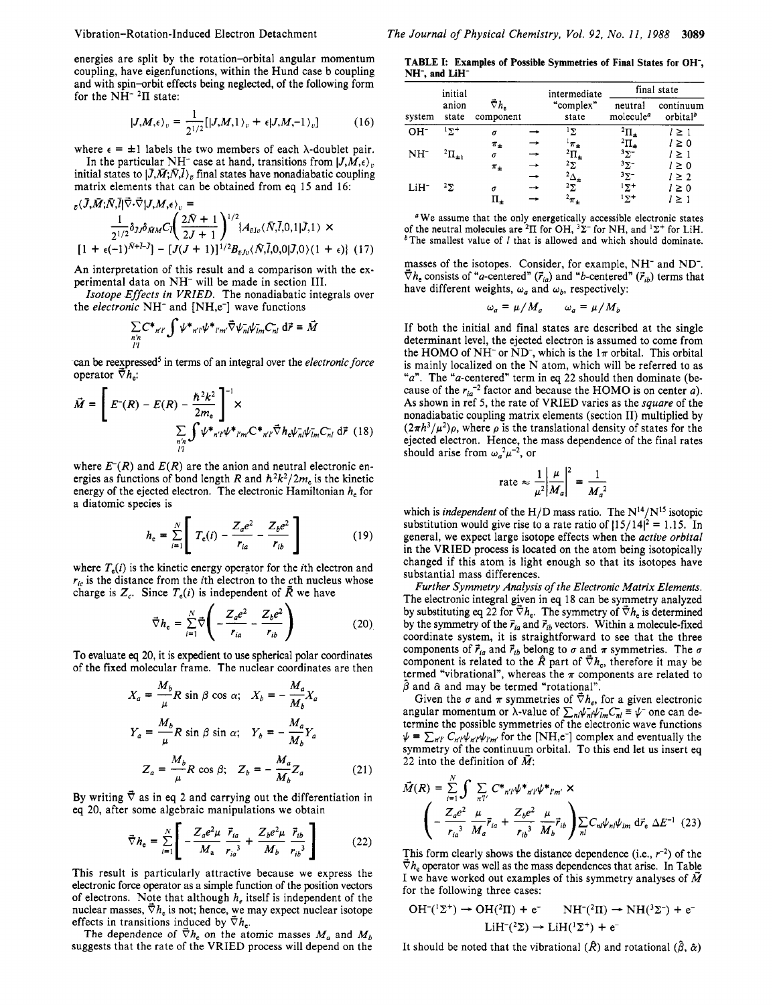energies are split by the rotation-orbital angular momentum coupling, have eigenfunctions, within the Hund case b coupling and with spin-orbit effects being neglected, of the following form for the  $NH^{-2}\Pi$  state:

$$
|J,M,\epsilon\rangle_v = \frac{1}{2^{1/2}} [|J,M,1\rangle_v + \epsilon |J,M,-1\rangle_v]
$$
 (16)

where  $\epsilon = \pm 1$  labels the two members of each  $\lambda$ -doublet pair. In the particular NH<sup>-</sup> case at hand, transitions from  $|J, M, \epsilon\rangle$ <sub>*v*</sub>

initial states to  $|\bar{J}, \bar{M}; \bar{N}, \bar{l}\rangle_{\bar{n}}$  final states have nonadiabatic coupling matrix elements that can be obtained from eq *15* and *16:* 

*[i* + *e(-1)N+7-J]* - *[J(J* + i)]i'2~~,(~,i,o,ol~,o)(i + (17)

An interpretation of this result and a comparison with the experimental data on NH- will be made in section **111.** 

*Isotope Effects in VRIED.* The nonadiabatic integrals over the *electronic* NH- and [NH,e-] wave functions

$$
\sum_{\substack{n'n\\l'l}} C^*_{n'l'} \int \psi^*_{n'l'} \psi^*_{l'm'} \vec{\nabla} \psi^-_{nl} \psi^-_{lm} C^-_{nl} d\vec{r} \equiv \vec{M}
$$

can be reexpressed<sup>5</sup> in terms of an integral over the *electronic force* operator  $\overline{\nabla} h$ .

$$
\vec{M} = \left[ E^-(R) - E(R) - \frac{\hbar^2 k^2}{2m_e} \right]^{-1} \times
$$
  

$$
\sum_{\substack{n' \ n' \ n'}} \int \psi^*_{n'l'} \psi^*_{l'm'} C^*_{n'l'} \vec{\nabla} h_e \psi_{nl} \psi_{lm} C_{nl} d\vec{r}
$$
 (18)

where  $E^{-}(R)$  and  $E(R)$  are the anion and neutral electronic energies as functions of bond length *R* and  $\hbar^2 k^2 / 2m_e$  is the kinetic energy of the ejected electron. The electronic Hamiltonian  $h<sub>e</sub>$  for a diatomic species is

$$
h_{e} = \sum_{i=1}^{N} \left[ T_{e}(i) - \frac{Z_{a}e^{2}}{r_{ia}} - \frac{Z_{b}e^{2}}{r_{ib}} \right]
$$
 (19)

where  $T_e(i)$  is the kinetic energy operator for the *i*th electron and  $r_{ic}$  is the distance from the *i*th electron to the *c*th nucleus whose charge is  $Z_c$ . Since  $T_e(i)$  is independent of  $\vec{R}$  we have

$$
\vec{\nabla} h_{\rm e} = \sum_{i=1}^{N} \vec{\nabla} \left( -\frac{Z_a e^2}{r_{ia}} - \frac{Z_b e^2}{r_{ib}} \right) \tag{20}
$$

To evaluate *eq 20,* it is expedient to use spherical polar coordinates of the fixed molecular frame. The nuclear coordinates are then

$$
X_a = \frac{M_b}{\mu} R \sin \beta \cos \alpha; \quad X_b = -\frac{M_a}{M_b} X_a
$$
  

$$
Y_a = \frac{M_b}{\mu} R \sin \beta \sin \alpha; \quad Y_b = -\frac{M_a}{M_b} Y_a
$$
  

$$
Z_a = \frac{M_b}{\mu} R \cos \beta; \quad Z_b = -\frac{M_a}{M_b} Z_a
$$
(21)

By writing  $\overline{\nabla}$  as in eq 2 and carrying out the differentiation in eq *20,* after some algebraic manipulations we obtain

$$
\vec{\nabla} h_{\rm e} = \sum_{i=1}^{N} \left[ -\frac{Z_a e^2 \mu}{M_a} \frac{\vec{r}_{ia}}{r_{ia}^3} + \frac{Z_b e^2 \mu}{M_b} \frac{\vec{r}_{ib}}{r_{ib}^3} \right]
$$
(22)

This result is particularly attractive because we express the electronic force operator as a simple function of the position vectors of electrons. Note that although  $h_e$  itself is independent of the nuclear masses,  $\vec{\nabla} h_e$  is not; hence, we may expect nuclear isotope effects in transitions induced by  $\bar{\nabla} h_{\rm e}$ .

The dependence of  $\vec{\nabla} h_e$  on the atomic masses  $M_a$  and  $M_b$ suggests that the rate of the VRIED process will depend on the

**TABLE I: Examples of Possible Symmetries of Final States for OH', NH-, and LiH-**

| system           | initial<br>anion<br>state | ₹h.<br>component |               | intermediate<br>"complex"<br>state | final state                         |                                   |
|------------------|---------------------------|------------------|---------------|------------------------------------|-------------------------------------|-----------------------------------|
|                  |                           |                  |               |                                    | neutral<br>molecule <sup>a</sup>    | continuum<br>orbital <sup>b</sup> |
| $OH^-$           | $12+$                     | σ                |               | $1\Sigma$                          | $^{2} \Pi_{+}$                      | $l \geq 1$                        |
|                  |                           | $\pi_{\pm}$      |               | $\pi$ +                            | $^{2}\Pi_{\pm}$<br>$^{3}\Sigma^{-}$ | $l \geq 0$                        |
| $NH-$            | $^{2} \Pi_{+1}$           | σ                |               | $^{2} \Pi_{+}$                     |                                     | $l \geq 1$                        |
|                  |                           | $\pi_{\pm}$      | →             | $2\Sigma$                          | $3\Sigma^-$                         | $l \geq 0$                        |
|                  |                           |                  | $\rightarrow$ | $^{2}\Delta_{\pm}$                 | $3\Sigma^-$                         | $l \geq 2$                        |
| LiH <sup>-</sup> | $2\Sigma$                 | σ                |               | $2\Sigma$                          | $1\Sigma^+$                         | $l \geq 0$                        |
|                  |                           | п.               |               | $^{2}\pi_{\pm}$                    | $15 +$                              | $l \geq 1$                        |

We assume that the only energetically accessible electronic states of the neutral molecules are <sup>2</sup> $\Pi$  for OH, <sup>3</sup> $\Sigma$ <sup>-</sup> for NH, and <sup>1</sup> $\Sigma$ <sup>+</sup> for LiH. <sup>b</sup> The smallest value of *I* that is allowed and which should dominate.

masses of the isotopes. Consider, for example, NH<sup>-</sup> and ND<sup>-</sup>.  $\vec{\nabla} h_e$  consists of "*a*-centered"  $(\vec{r}_{ia})$  and "*b*-centered"  $(\vec{r}_{ib})$  terms that have different weights,  $\omega_a$  and  $\omega_b$ , respectively:

$$
\omega_a = \mu / M_a \qquad \omega_a = \mu / M_b
$$

If both the initial and final states are described at the single determinant level, the ejected electron is assumed to come from the HOMO of NH<sup>-</sup> or ND<sup>-</sup>, which is the  $1\pi$  orbital. This orbital is mainly localized on the N atom, which will be referred to as "a". The "a-centered" term in eq *22* should then dominate (because of the  $r_{ia}^{-2}$  factor and because the HOMO is on center *a*). **As** shown in ref *5,* the rate of VRIED varies as the *square* of the nonadiabatic coupling matrix elements (section 11) multiplied by  $(2\pi h^3/\mu^2)\rho$ , where  $\rho$  is the translational density of states for the ejected electron. Hence, the mass dependence of the final rates should arise from  $\omega_a^2 \mu^{-2}$ , or

$$
\text{rate} \approx \frac{1}{\mu^2} \left| \frac{\mu}{M_a} \right|^2 = \frac{1}{M_a^2}
$$

which is *independent* of the H/D mass ratio. The  $N^{14}/N^{15}$  isotopic substitution would give rise to a rate ratio of  $\frac{15}{14}^2 = 1.15$ . In general, we expect large isotope effects when the *active orbital*  in the VRIED process is located on the atom being isotopically changed if this atom is light enough so that its isotopes have substantial mass differences.

*Further Symmetry Analysis of the Electronic Matrix Elements.*  The electronic integral given in eq 18 can be symmetry analyzed by substituting eq 22 for  $\overline{\nabla} h_e$ . The symmetry of  $\overline{\nabla} h_e$  is determined by the symmetry of the  $\vec{r}_{ia}$  and  $\vec{r}_{ib}$  vectors. Within a molecule-fixed coordinate system, it is straightforward to see that the three components of  $\vec{r}_{ia}$  and  $\vec{r}_{ib}$  belong to  $\sigma$  and  $\pi$  symmetries. The  $\sigma$ component is related to the  $\hat{R}$  part of  $\vec{\nabla}h_{e}$ , therefore it may be termed "vibrational", whereas the  $\pi$  components are related to  $\hat{\beta}$  and  $\hat{\alpha}$  and may be termed "rotational".

Given the  $\sigma$  and  $\pi$  symmetries of  $\bar{\nabla}h_{\epsilon}$ , for a given electronic angular momentum or  $\lambda$ -value of  $\sum_{n l} \psi_{n l}^{\dagger} \psi_{l m}^{\dagger} C_{n l}^{\dagger} \equiv \psi$  one can determine the possible symmetries of the electronic wave functions  $\psi = \sum_{n' \in \mathcal{C}_{n'} \psi_{n'} \psi_{n'} \psi_{n'}$  for the [NH,e<sup>-</sup>] complex and eventually the symmetry of the continuum orbital. To this end let us insert eq 22 into the definition of  $\vec{M}$ :

$$
\vec{M}(R) = \sum_{i=1}^{N} \int \sum_{n'i'} C^*{}_{n'i'} \psi^*{}_{n'i'} \psi^*{}_{n'm'} \times
$$
\n
$$
\left( -\frac{Z_a e^2}{r_{ia}^3} \frac{\mu}{M_a} \vec{r}_{ia} + \frac{Z_b e^2}{r_{ib}^3} \frac{\mu}{M_b} \vec{r}_{ib} \right) \sum_{nl} C_{nl} \psi_{nl} \psi_{lm} d\vec{r}_e \Delta E^{-1}
$$
\n(23)

This form clearly shows the distance dependence (i.e.,  $r^{-2}$ ) of the  $\bar{\nabla} h_e$  operator was well as the mass dependences that arise. In Table I we have worked out examples of this symmetry analyses of *M* 

for the following three cases:  
\n
$$
OH^{-1}(\Sigma^+) \rightarrow OH(^{2}\Pi) + e^{-} \qquad NH^{-2}(\Pi) \rightarrow NH(^{3}\Sigma^-) + e^{-}
$$
\n
$$
LiH^{-2}(\Sigma) \rightarrow LiH^{1}(\Sigma^+) + e^{-}
$$

It should be noted that the vibrational  $(\hat{R})$  and rotational  $(\hat{\beta}, \hat{\alpha})$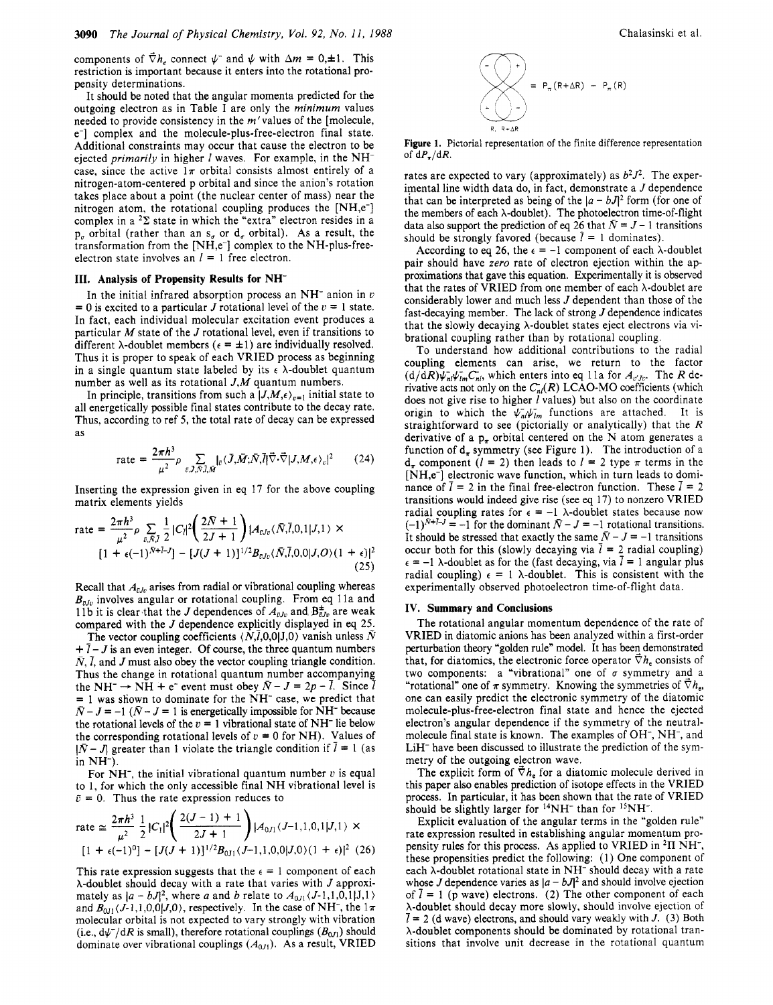components of  $\vec{\nabla}h$ , connect  $\psi$ <sup>-</sup> and  $\psi$  with  $\Delta m = 0,\pm 1$ . This restriction is important because it enters into the rotational propensity determinations.

It should be noted that the angular momenta predicted for the outgoing electron as in Table I are only the *minimum* values needed to provide consistency in the  $m'$  values of the [molecule, e-] complex and the molecule-plus-free-electron final state. Additional constraints may occur that cause the electron to be ejected *primarily* in higher *1* waves. For example, in the NHcase, since the active  $1\pi$  orbital consists almost entirely of a nitrogen-atom-centered p orbital and since the anion's rotation takes place about a point (the nuclear center of mass) near the nitrogen atom, the rotational coupling produces the [NH,e-] complex in a  $2\Sigma$  state in which the "extra" electron resides in a  $p_{\sigma}$  orbital (rather than an  $s_{\sigma}$  or  $d_{\sigma}$  orbital). As a result, the transformation from the [NH,e<sup>-</sup>] complex to the NH-plus-freeelectron state involves an  $l = 1$  free electron.

### **111. Analysis of Propensity Results for NH-**

In the initial infrared absorption process an NH- anion in *u*   $= 0$  is excited to a particular *J* rotational level of the  $v = 1$  state. In fact, each individual molecular excitation event produces a particular *M* state of the *J* rotational level, even if transitions to different  $\lambda$ -doublet members ( $\epsilon = \pm 1$ ) are individually resolved. Thus it is proper to speak of each VRIED process as beginning in a single quantum state labeled by its  $\epsilon$   $\lambda$ -doublet quantum number as well as its rotational *J,M* quantum numbers.

In principle, transitions from such a  $|J,M,\epsilon\rangle_{\epsilon=1}$  initial state to all energetically possible final states contribute to the decay rate. Thus, according to ref *5,* the total rate of decay can be expressed as

rate = 
$$
\frac{2\pi\hbar^3}{\mu^2} \rho \sum_{\bar{v}, \bar{J}, \bar{N}, \bar{l}, \bar{M}} \left|_{\bar{v}} \langle \bar{J}, \bar{M}; \bar{N}, \bar{l} \rangle \vec{\nabla} \cdot \vec{\nabla} | J, M, \epsilon \rangle_{\bar{v}} \right|^2
$$
 (24)

Inserting the expression given in eq 17 for the above coupling matrix elements yields

rate = 
$$
\frac{2\pi h^3}{\mu^2} \rho \sum_{\bar{v}, \bar{N}, \bar{l}} \frac{1}{2} |C_{\bar{l}}|^2 \left( \frac{2\bar{N} + 1}{2J + 1} \right) |A_{\bar{v},\bar{v}} \langle \bar{N}, \bar{l}, 0, 1 | J, 1 \rangle \times
$$
  
[1 +  $\epsilon (-1)^{\bar{N} + \bar{l} - J}] - [J(J + 1)]^{1/2} B_{\bar{v},\bar{v}} \langle \bar{N}, \bar{l}, 0, 0 | J, O \rangle (1 + \epsilon)|^2$ (25)

Recall that  $A_{\bar{\nu}J\nu}$  arises from radial or vibrational coupling whereas  $B_{\bar{v},v}$  involves angular or rotational coupling. From eq 11a and 11b it is clear that the *J* dependences of  $A_{\bar{v}Jv}$  and  $B_{\bar{v}Jv}^*$  are weak compared with the *J* dependence explicitly displayed in eq *25.* 

The vector coupling coefficients  $\langle N,\bar{l},0,0|J,0\rangle$  vanish unless  $\bar{N}$  $+7 - J$  is an even integer. Of course, the three quantum numbers  $\bar{N}$ ,  $\bar{l}$ , and  $J$  must also obey the vector coupling triangle condition. Thus the change in rotational quantum number accompanying N, *l*, and *J* must also obey the vector coupling triangle condition.<br>Thus the change in rotational quantum number accompanying<br>the NH<sup>-</sup>  $\rightarrow$  NH + e<sup>-</sup> event must obey  $\overline{N}$ - *J* = 2*p* - *l*. Since *l*  $= 1$  was shown to dominate for the NH<sup>-</sup> case, we predict that  $\overline{N} - J = -1$  ( $\overline{N} - J = 1$  is energetically impossible for NH<sup>-</sup> because the rotational levels of the  $v = 1$  vibrational state of NH<sup>-</sup> lie below the corresponding rotational levels of  $v = 0$  for NH). Values of  $|\bar{N}-J|$  greater than 1 violate the triangle condition if  $\bar{l}=1$  (as in NH-).

For NH-, the initial vibrational quantum number *u* is equal to 1, for which the only accessible final NH vibrational level is  $\bar{v} = 0$ . Thus the rate expression reduces to

rate 
$$
\approx \frac{2\pi h^3}{\mu^2} \frac{1}{2} |C_1|^2 \left( \frac{2(J-1) + 1}{2J+1} \right) |A_{0J_1}(J-1,1,0,1|J,1) \times
$$
  
\n
$$
[1 + \epsilon(-1)^0] - [J(J+1)]^{1/2} B_{0J_1}(J-1,1,0,0|J,0) (1 + \epsilon)|^2 (26)
$$

This rate expression suggests that the  $\epsilon = 1$  component of each A-doublet should decay with a rate that varies with *J* approximately as  $|a - bJ|^2$ , where *a* and *b* relate to  $A_{0J}(J-1,1,0,1|J,1)$ and  $B_{0J1}$ (*J*-1,1,0,0|*J*,0), respectively. In the case of NH<sup>-</sup>, the  $1\pi$ molecular orbital is not expected to vary strongly with vibration (i.e.,  $d\psi^-/dR$  is small), therefore rotational couplings  $(B_{0J1})$  should dominate over vibrational couplings  $(A_{0/1})$ . As a result, VRIED



**Figure 1.** Pictorial representation of the finite difference representation of  $dP<sub>z</sub>/dR$ .

rates are expected to vary (approximately) as  $b^2J^2$ . The experimental line width data do, in fact, demonstrate a *J* dependence that can be interpreted as being of the  $|a - bJ|^2$  form (for one of the members of each A-doublet). The photoelectron time-of-flight data also support the prediction of eq 26 that  $\bar{N} = J - 1$  transitions should be strongly favored (because  $\bar{l} = 1$  dominates).

According to eq 26, the  $\epsilon = -1$  component of each  $\lambda$ -doublet pair should have *zero* rate of electron ejection within the approximations that gave this equation. Experimentally it is observed that the rates of VRIED from one member of each  $\lambda$ -doublet are considerably lower and much less *J* dependent than those of the fast-decaying member. The lack of strong *J* dependence indicates that the slowly decaying  $\lambda$ -doublet states eject electrons via vibrational coupling rather than by rotational coupling.

To understand how additional contributions to the radial coupling elements can arise, we return to the factor  $(d/dR)\psi_{nl}^{\dagger}\psi_{lm}^{\dagger}C_{nl}^{\dagger}$ , which enters into eq 11a for  $A_{v'Jv}$ . The R derivative acts not only on the  $C_{nl}(R)$  LCAO-MO coefficients (which does not give rise to higher *1* values) but also on the coordinate origin to which the  $\bar{\psi}_{ni}\psi_{lm}$  functions are attached. It is straightforward to see (pictorially or analytically) that the *R*  derivative of a  $p_{\pi}$  orbital centered on the N atom generates a function of  $d_{\pi}$  symmetry (see Figure 1). The introduction of a  $d<sub>z</sub>$  component  $(l = 2)$  then leads to  $l = 2$  type  $\pi$  terms in the [NH,e<sup>-</sup>] electronic wave function, which in turn leads to dominance of  $\overline{l} = 2$  in the final free-electron function. These  $\overline{l} = 2$ transitions would indeed give rise (see eq 17) to nonzero VRIED radial coupling rates for  $\epsilon = -1$   $\lambda$ -doublet states because now  $(-1)^{N+1-J} = -1$  for the dominant  $\overline{N} - J = -1$  rotational transitions. It should be stressed that exactly the same  $\overline{N} - J = -1$  transitions occur both for this (slowly decaying via  $\bar{l} = 2$  radial coupling)  $\epsilon = -1$   $\lambda$ -doublet as for the (fast decaying, via  $\bar{l} = 1$  angular plus radial coupling)  $\epsilon = 1$   $\lambda$ -doublet. This is consistent with the experimentally observed photoelectron time-of-flight data.

#### **IV. Summary and Conclusions**

The rotational angular momentum dependence of the rate of VRIED in diatomic anions has been analyzed within a first-order perturbation theory "golden rule" model. It has been demonstrated that, for diatomics, the electronic force operator  $\bar{\nabla} h_e$  consists of two components: a "vibrational" one of  $\sigma$  symmetry and a "rotational" one of  $\pi$  symmetry. Knowing the symmetries of  $\nabla h_e$ , one can easily predict the electronic symmetry of the diatomic molecule-plus-free-electron final state and hence the ejected electron's angular dependence if the symmetry of the neutralmolecule final state is known. The examples of  $OH^-$ ,  $NH^-$ , and LiH- have been discussed to illustrate the prediction of the symmetry of the outgoing electron wave.

The explicit form of  $\nabla h_{\epsilon}$  for a diatomic molecule derived in this paper also enables prediction of isotope effects in the VRIED process. In particular, it has been shown that the rate of VRIED should be slightly larger for  $14NH^-$  than for  $15NH^-$ .

Explicit evaluation of the angular terms in the "golden rule" rate expression resulted in establishing angular momentum propensity rules for this process. As applied to VRIED in **211** NH-, these propensities predict the following: (1) One component of each  $\lambda$ -doublet rotational state in NH<sup>-</sup> should decay with a rate whose *J* dependence varies as  $|a - bJ|^2$  and should involve ejection of  $\bar{l} = 1$  (p wave) electrons. (2) The other component of each A-doublet should decay more slowly, should involve ejection of  $1 = 2$  (d wave) electrons, and should vary weakly with *J*. (3) Both A-doublet components should be dominated by rotational transitions that involve unit decrease in the rotational quantum